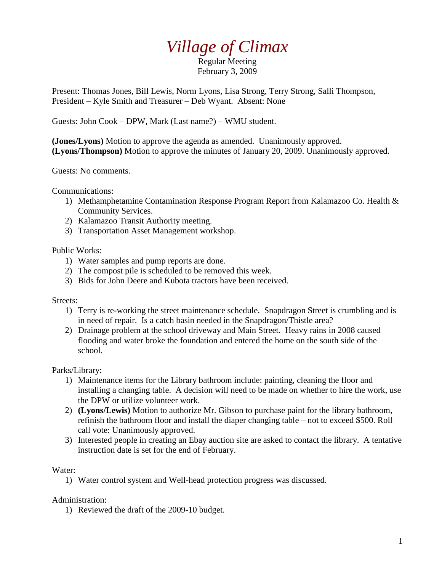## *Village of Climax*

Regular Meeting February 3, 2009

Present: Thomas Jones, Bill Lewis, Norm Lyons, Lisa Strong, Terry Strong, Salli Thompson, President – Kyle Smith and Treasurer – Deb Wyant. Absent: None

Guests: John Cook – DPW, Mark (Last name?) – WMU student.

**(Jones/Lyons)** Motion to approve the agenda as amended. Unanimously approved. **(Lyons/Thompson)** Motion to approve the minutes of January 20, 2009. Unanimously approved.

Guests: No comments.

Communications:

- 1) Methamphetamine Contamination Response Program Report from Kalamazoo Co. Health & Community Services.
- 2) Kalamazoo Transit Authority meeting.
- 3) Transportation Asset Management workshop.

Public Works:

- 1) Water samples and pump reports are done.
- 2) The compost pile is scheduled to be removed this week.
- 3) Bids for John Deere and Kubota tractors have been received.

## Streets:

- 1) Terry is re-working the street maintenance schedule. Snapdragon Street is crumbling and is in need of repair. Is a catch basin needed in the Snapdragon/Thistle area?
- 2) Drainage problem at the school driveway and Main Street. Heavy rains in 2008 caused flooding and water broke the foundation and entered the home on the south side of the school.

## Parks/Library:

- 1) Maintenance items for the Library bathroom include: painting, cleaning the floor and installing a changing table. A decision will need to be made on whether to hire the work, use the DPW or utilize volunteer work.
- 2) **(Lyons/Lewis)** Motion to authorize Mr. Gibson to purchase paint for the library bathroom, refinish the bathroom floor and install the diaper changing table – not to exceed \$500. Roll call vote: Unanimously approved.
- 3) Interested people in creating an Ebay auction site are asked to contact the library. A tentative instruction date is set for the end of February.

## Water:

1) Water control system and Well-head protection progress was discussed.

Administration:

1) Reviewed the draft of the 2009-10 budget.